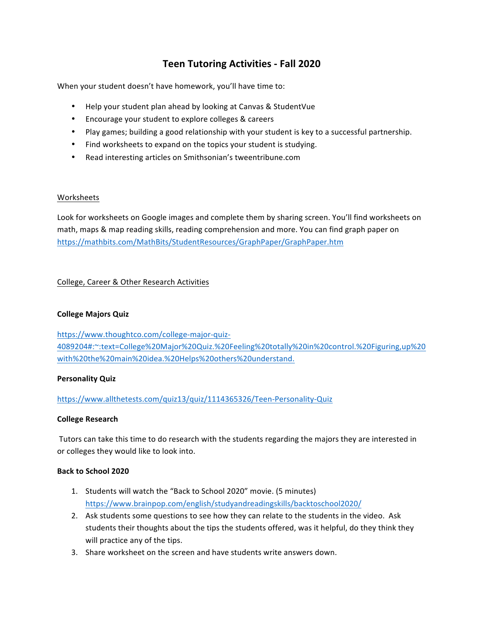# **Teen Tutoring Activities - Fall 2020**

When your student doesn't have homework, you'll have time to:

- Help your student plan ahead by looking at Canvas & StudentVue
- Encourage your student to explore colleges & careers
- Play games; building a good relationship with your student is key to a successful partnership.
- Find worksheets to expand on the topics your student is studying.
- Read interesting articles on Smithsonian's tweentribune.com

## Worksheets

Look for worksheets on Google images and complete them by sharing screen. You'll find worksheets on math, maps & map reading skills, reading comprehension and more. You can find graph paper on https://mathbits.com/MathBits/StudentResources/GraphPaper/GraphPaper.htm

## College, Career & Other Research Activities

## **College Majors Quiz**

https://www.thoughtco.com/college-major-quiz-4089204#:~:text=College%20Major%20Quiz.%20Feeling%20totally%20in%20control.%20Figuring,up%20 with%20the%20main%20idea.%20Helps%20others%20understand.

## **Personality Quiz**

https://www.allthetests.com/quiz13/quiz/1114365326/Teen-Personality-Quiz

## **College Research**

Tutors can take this time to do research with the students regarding the majors they are interested in or colleges they would like to look into.

## **Back to School 2020**

- 1. Students will watch the "Back to School 2020" movie. (5 minutes) https://www.brainpop.com/english/studyandreadingskills/backtoschool2020/
- 2. Ask students some questions to see how they can relate to the students in the video. Ask students their thoughts about the tips the students offered, was it helpful, do they think they will practice any of the tips.
- 3. Share worksheet on the screen and have students write answers down.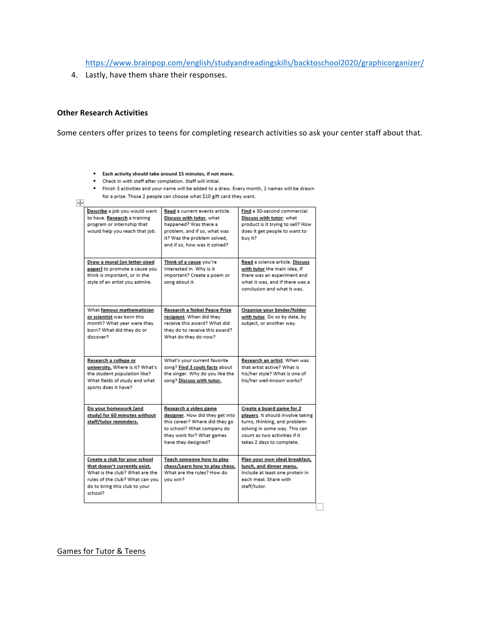https://www.brainpop.com/english/studyandreadingskills/backtoschool2020/graphicorganizer/

4. Lastly, have them share their responses.

### **Other Research Activities**

Some centers offer prizes to teens for completing research activities so ask your center staff about that.

- . Each activity should take around 15 minutes, if not more.
- Check in with staff after completion. Staff will initial.
- . Finish 3 activities and your name will be added to a draw. Every month, 2 names will be drawn for a prize. Those 2 people can choose what \$10 gift card they want.

| Describe a job you would want<br>to have. Research a training                                                                                                                   | Read a current events article.<br>Discuss with tutor, what                                                                                                                   | Find a 30-second commercial.<br>Discuss with tutor: what                                                                                                                                       |
|---------------------------------------------------------------------------------------------------------------------------------------------------------------------------------|------------------------------------------------------------------------------------------------------------------------------------------------------------------------------|------------------------------------------------------------------------------------------------------------------------------------------------------------------------------------------------|
| program or internship that<br>would help you reach that job.                                                                                                                    | happened? Was there a<br>problem, and if so, what was<br>it? Was the problem solved.<br>and if so, how was it solved?                                                        | product is it trying to sell? How<br>does it get people to want to<br>buy it?                                                                                                                  |
| Draw a mural (on letter-sized<br>paper) to promote a cause you<br>think is important, or in the<br>style of an artist you admire.                                               | Think of a cause you're<br>interested in. Why is it<br>important? Create a poem or<br>song about it.                                                                         | Read a science article. Discuss<br>with tutor the main idea, if<br>there was an experiment and<br>what it was, and if there was a<br>conclusion and what it was.                               |
| What famous mathematician<br>or scientist was born this<br>month? What year were they<br>born? What did they do or<br>discover?                                                 | Research a Nobel Peace Prize<br>recipient. When did they<br>receive this award? What did<br>they do to receive this award?<br>What do they do now?                           | Organize your binder/folder<br>with tutor. Do so by date, by<br>subject, or another way.                                                                                                       |
| Research a college or<br>university. Where is it? What's<br>the student population like?<br>What fields of study and what<br>sports does it have?                               | What's your current favorite<br>song? Find 3 cools facts about<br>the singer. Why do you like the<br>song? Discuss with tutor.                                               | Research an artist. When was<br>that artist active? What is<br>his/her style? What is one of<br>his/her well-known works?                                                                      |
| Do your homework (and<br>study) for 60 minutes without<br>staff/tutor reminders.                                                                                                | Research a video game<br>designer. How did they get into<br>this career? Where did they go<br>to school? What company do<br>they work for? What games<br>have they designed? | Create a board game for 2<br>players. It should involve taking<br>turns, thinking, and problem-<br>solving in some way. This can<br>count as two activities if it<br>takes 2 days to complete. |
| Create a club for your school<br>that doesn't currently exist.<br>What is the club? What are the<br>rules of the club? What can you<br>do to bring this club to your<br>school? | Teach someone how to play<br>chess/Learn how to play chess.<br>What are the rules? How do<br>vou win?                                                                        | Plan your own ideal breakfast,<br>lunch, and dinner menu.<br>Include at least one protein in<br>each meal. Share with<br>staff/tutor.                                                          |

Games for Tutor & Teens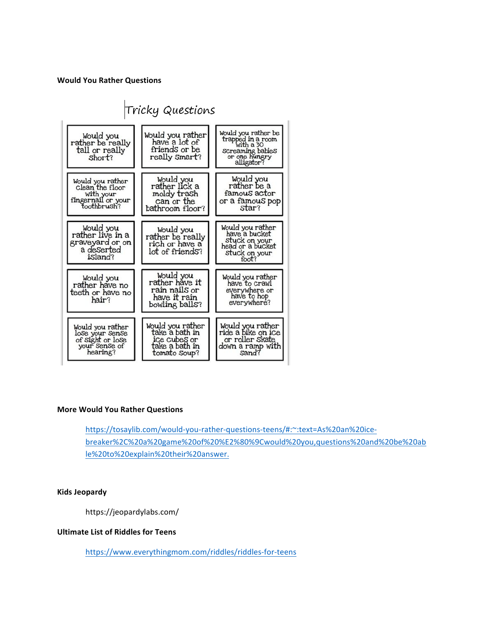#### **Would You Rather Questions**



#### **More Would You Rather Questions**

https://tosaylib.com/would-you-rather-questions-teens/#:~:text=As%20an%20icebreaker%2C%20a%20game%20of%20%E2%80%9Cwould%20you,questions%20and%20be%20ab le%20to%20explain%20their%20answer.

#### **Kids Jeopardy**

https://jeopardylabs.com/

#### **Ultimate List of Riddles for Teens**

https://www.everythingmom.com/riddles/riddles-for-teens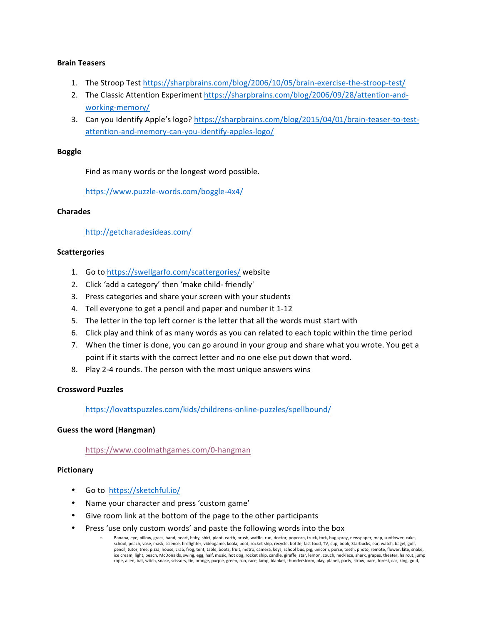## **Brain Teasers**

- 1. The Stroop Test https://sharpbrains.com/blog/2006/10/05/brain-exercise-the-stroop-test/
- 2. The Classic Attention Experiment https://sharpbrains.com/blog/2006/09/28/attention-andworking-memory/
- 3. Can you Identify Apple's logo? https://sharpbrains.com/blog/2015/04/01/brain-teaser-to-testattention-and-memory-can-you-identify-apples-logo/

## **Boggle**

Find as many words or the longest word possible.

https://www.puzzle-words.com/boggle-4x4/

## **Charades**

http://getcharadesideas.com/

## **Scattergories**

- 1. Go to https://swellgarfo.com/scattergories/ website
- 2. Click 'add a category' then 'make child- friendly'
- 3. Press categories and share your screen with your students
- 4. Tell everyone to get a pencil and paper and number it 1-12
- 5. The letter in the top left corner is the letter that all the words must start with
- 6. Click play and think of as many words as you can related to each topic within the time period
- 7. When the timer is done, you can go around in your group and share what you wrote. You get a point if it starts with the correct letter and no one else put down that word.
- 8. Play 2-4 rounds. The person with the most unique answers wins

#### **Crossword Puzzles**

https://lovattspuzzles.com/kids/childrens-online-puzzles/spellbound/

#### **Guess the word (Hangman)**

https://www.coolmathgames.com/0-hangman

#### **Pictionary**

- Go to https://sketchful.io/
- Name your character and press 'custom game'
- Give room link at the bottom of the page to the other participants
- Press 'use only custom words' and paste the following words into the box
	- Banana, eye, pillow, grass, hand, heart, baby, shirt, plant, earth, brush, waffle, run, doctor, popcorn, truck, fork, bug spray, newspaper, map, sunflower, cake, school, peach, vase, mask, science, firefighter, videogame, koala, boat, rocket ship, recycle, bottle, fast food, TV, cup, book, Starbucks, ear, watch, bagel, golf, pencil, tutor, tree, pizza, house, crab, frog, tent, table, boots, fruit, metro, camera, keys, school bus, pig, unicorn, purse, teeth, photo, remote, flower, kite, snake, ice cream, light, beach, McDonalds, swing, egg, half, music, hot dog, rocket ship, candle, giraffe, star, lemon, couch, necklace, shark, grapes, theater, haircut, jump<br>rope, alien, bat, witch, snake, scissors, tie, orange,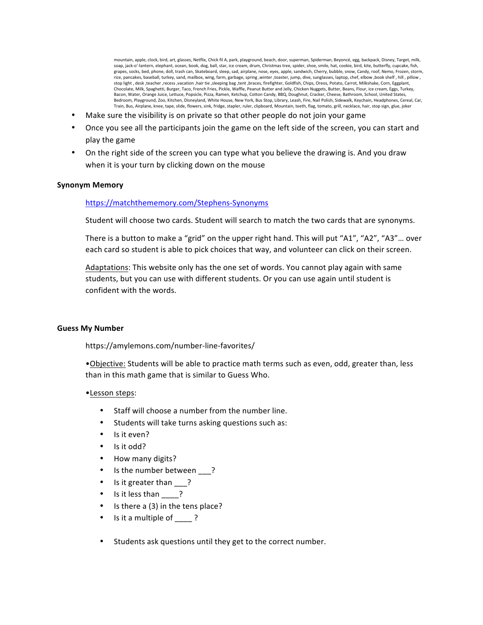mountain, apple, clock, bird, art, glasses, Netflix, Chick fil A, park, playground, beach, door, superman, Spiderman, Beyoncé, egg, backpack, Disney, Target, milk, soap, jack-o'-lantern, elephant, ocean, book, dog, ball, star, ice cream, drum, Christmas tree, spider, shoe, smile, hat, cookie, bird, kite, butterfly, cupcake, fish, grapes, socks, bed, phone, doll, trash can, Skateboard, sleep, sad, airplane, nose, eyes, apple, sandwich, Cherry, bubble, snow, Candy, roof, Nemo, Frozen, storm,<br>rice, pancakes, baseball, turkey, sand, mailbox, wing, farm stop light , desk ,teacher ,recess ,vacation ,hair tie ,sleeping bag ,tent ,braces, firefighter, Goldfish, Chips, Oreos, Potato, Carrot, Milkshake, Corn, Eggplant, Chocolate, Milk, Spaghetti, Burger, Taco, French Fries, Pickle, Waffle, Peanut Butter and Jelly, Chicken Nuggets, Butter, Beans, Flour, ice cream, Eggs, Turkey, Bacon, Water, Orange Juice, Lettuce, Popsicle, Pizza, Ramen, Ketchup, Cotton Candy, BBQ, Doughnut, Cracker, Cheese, Bathroom, School, United States, Bedroom, Playground, Zoo, Kitchen, Disneyland, White House, New York, Bus Stop, Library, Leash, Fire, Nail Polish, Sidewalk, Keychain, Headphones, Cereal, Car, Train, Bus, Airplane, knee, tape, slide, flowers, sink, fridge, stapler, ruler, clipboard, Mountain, teeth, flag, tomato, grill, necklace, hair, stop sign, glue, joker

- Make sure the visibility is on private so that other people do not join your game
- Once you see all the participants join the game on the left side of the screen, you can start and play the game
- On the right side of the screen you can type what you believe the drawing is. And you draw when it is your turn by clicking down on the mouse

#### **Synonym Memory**

#### https://matchthememory.com/Stephens-Synonyms

Student will choose two cards. Student will search to match the two cards that are synonyms.

There is a button to make a "grid" on the upper right hand. This will put "A1", "A2", "A3"... over each card so student is able to pick choices that way, and volunteer can click on their screen.

Adaptations: This website only has the one set of words. You cannot play again with same students, but you can use with different students. Or you can use again until student is confident with the words.

#### **Guess My Number**

https://amylemons.com/number-line-favorites/

•Objective: Students will be able to practice math terms such as even, odd, greater than, less than in this math game that is similar to Guess Who.

#### •Lesson steps:

- Staff will choose a number from the number line.
- Students will take turns asking questions such as:
- Is it even?
- Is it odd?
- How many digits?
- Is the number between ?
- Is it greater than ?
- Is it less than \_\_\_\_?
- Is there a  $(3)$  in the tens place?
- Is it a multiple of  $\qquad$  ?
- Students ask questions until they get to the correct number.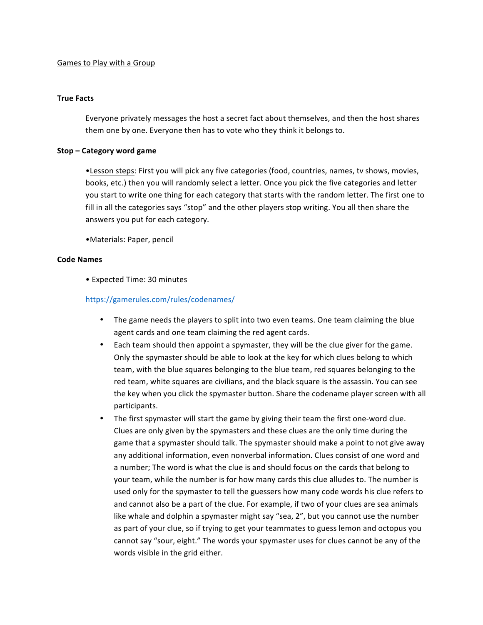## Games to Play with a Group

#### **True Facts**

Everyone privately messages the host a secret fact about themselves, and then the host shares them one by one. Everyone then has to vote who they think it belongs to.

#### **Stop – Category word game**

•Lesson steps: First you will pick any five categories (food, countries, names, ty shows, movies, books, etc.) then you will randomly select a letter. Once you pick the five categories and letter you start to write one thing for each category that starts with the random letter. The first one to fill in all the categories says "stop" and the other players stop writing. You all then share the answers you put for each category.

•Materials: Paper, pencil

#### **Code Names**

• Expected Time: 30 minutes

## https://gamerules.com/rules/codenames/

- The game needs the players to split into two even teams. One team claiming the blue agent cards and one team claiming the red agent cards.
- Each team should then appoint a spymaster, they will be the clue giver for the game. Only the spymaster should be able to look at the key for which clues belong to which team, with the blue squares belonging to the blue team, red squares belonging to the red team, white squares are civilians, and the black square is the assassin. You can see the key when you click the spymaster button. Share the codename player screen with all participants.
- The first spymaster will start the game by giving their team the first one-word clue. Clues are only given by the spymasters and these clues are the only time during the game that a spymaster should talk. The spymaster should make a point to not give away any additional information, even nonverbal information. Clues consist of one word and a number; The word is what the clue is and should focus on the cards that belong to your team, while the number is for how many cards this clue alludes to. The number is used only for the spymaster to tell the guessers how many code words his clue refers to and cannot also be a part of the clue. For example, if two of your clues are sea animals like whale and dolphin a spymaster might say "sea, 2", but you cannot use the number as part of your clue, so if trying to get your teammates to guess lemon and octopus you cannot say "sour, eight." The words your spymaster uses for clues cannot be any of the words visible in the grid either.